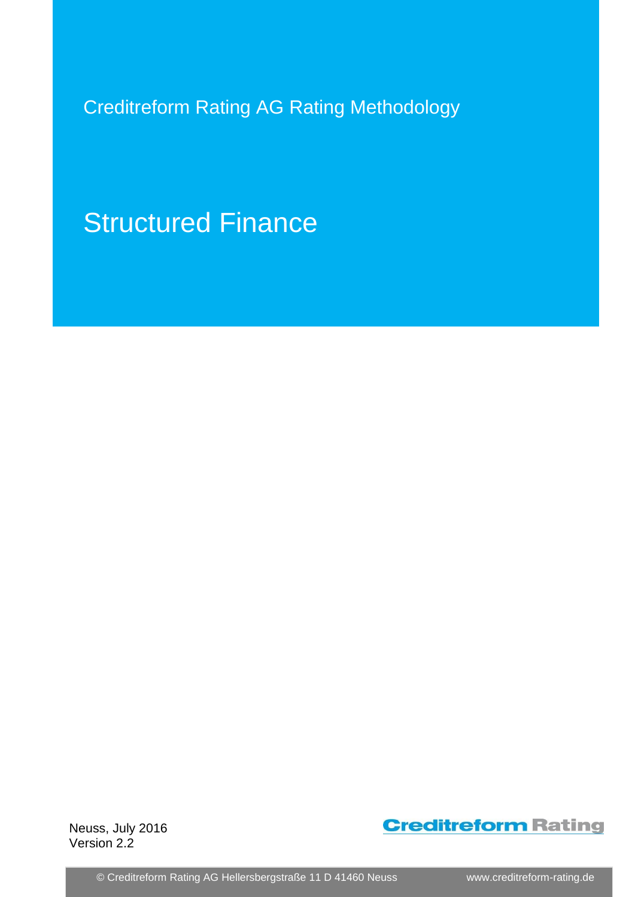Creditreform Rating AG Rating Methodology

Structured Finance

Neuss, July 2016 Version 2.2



© Creditreform Rating AG Hellersbergstraße 11 D 41460 Neuss www.creditreform-rating.de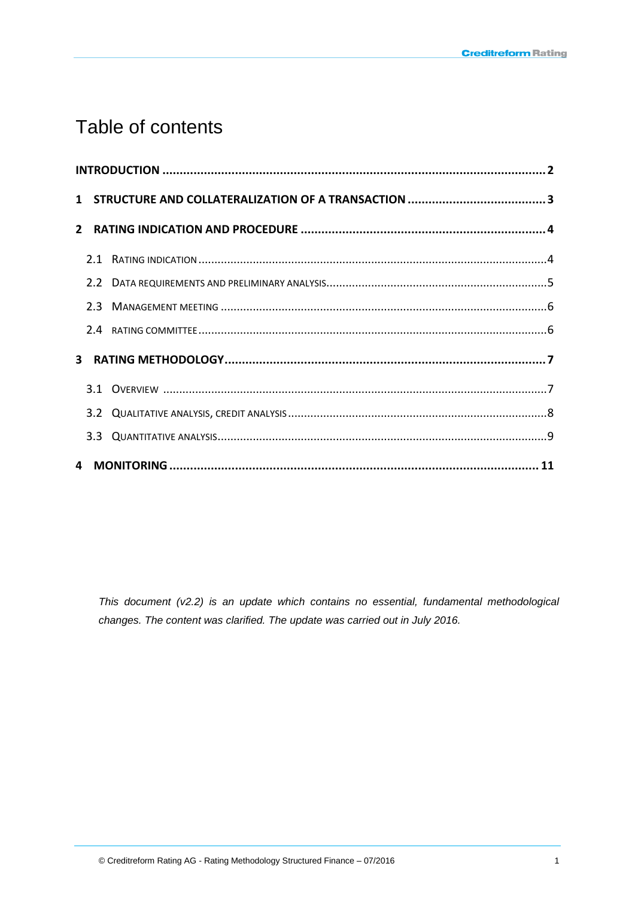# Table of contents

*This document (v2.2) is an update which contains no essential, fundamental methodological changes. The content was clarified. The update was carried out in July 2016.*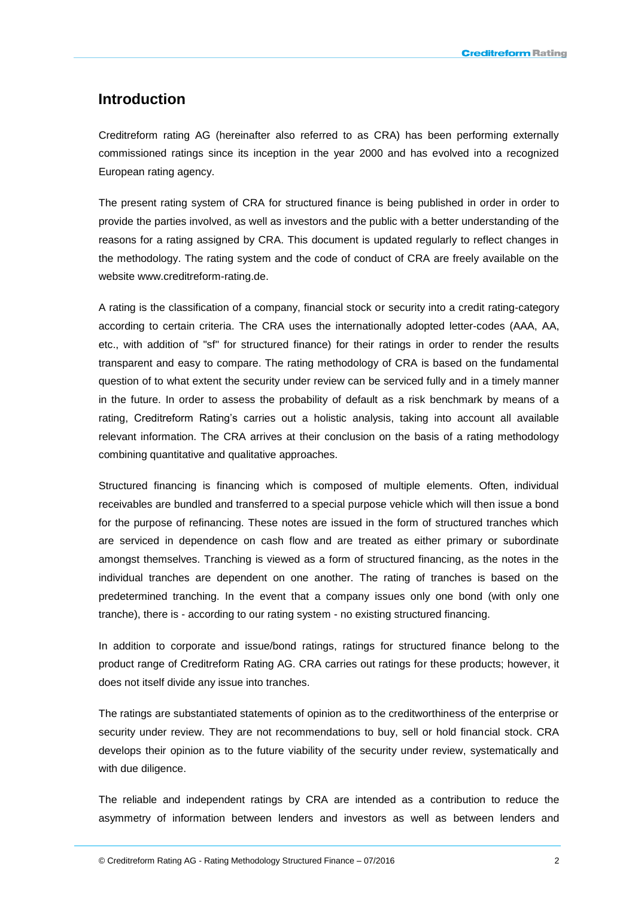### **Introduction**

Creditreform rating AG (hereinafter also referred to as CRA) has been performing externally commissioned ratings since its inception in the year 2000 and has evolved into a recognized European rating agency.

The present rating system of CRA for structured finance is being published in order in order to provide the parties involved, as well as investors and the public with a better understanding of the reasons for a rating assigned by CRA. This document is updated regularly to reflect changes in the methodology. The rating system and the code of conduct of CRA are freely available on the website www.creditreform-rating.de.

A rating is the classification of a company, financial stock or security into a credit rating-category according to certain criteria. The CRA uses the internationally adopted letter-codes (AAA, AA, etc., with addition of "sf" for structured finance) for their ratings in order to render the results transparent and easy to compare. The rating methodology of CRA is based on the fundamental question of to what extent the security under review can be serviced fully and in a timely manner in the future. In order to assess the probability of default as a risk benchmark by means of a rating, Creditreform Rating's carries out a holistic analysis, taking into account all available relevant information. The CRA arrives at their conclusion on the basis of a rating methodology combining quantitative and qualitative approaches.

Structured financing is financing which is composed of multiple elements. Often, individual receivables are bundled and transferred to a special purpose vehicle which will then issue a bond for the purpose of refinancing. These notes are issued in the form of structured tranches which are serviced in dependence on cash flow and are treated as either primary or subordinate amongst themselves. Tranching is viewed as a form of structured financing, as the notes in the individual tranches are dependent on one another. The rating of tranches is based on the predetermined tranching. In the event that a company issues only one bond (with only one tranche), there is - according to our rating system - no existing structured financing.

In addition to corporate and issue/bond ratings, ratings for structured finance belong to the product range of Creditreform Rating AG. CRA carries out ratings for these products; however, it does not itself divide any issue into tranches.

The ratings are substantiated statements of opinion as to the creditworthiness of the enterprise or security under review. They are not recommendations to buy, sell or hold financial stock. CRA develops their opinion as to the future viability of the security under review, systematically and with due diligence.

The reliable and independent ratings by CRA are intended as a contribution to reduce the asymmetry of information between lenders and investors as well as between lenders and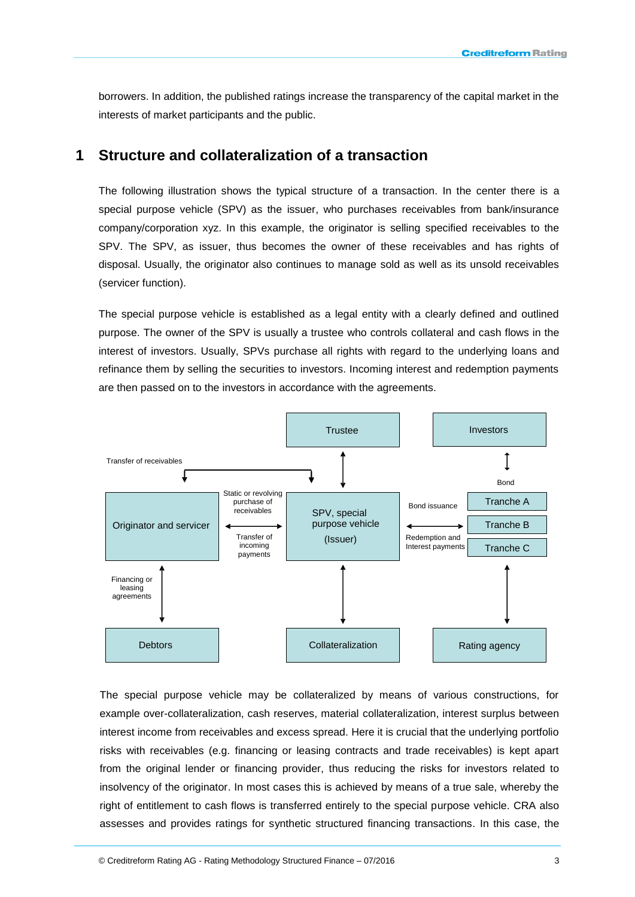borrowers. In addition, the published ratings increase the transparency of the capital market in the interests of market participants and the public.

### **1 Structure and collateralization of a transaction**

The following illustration shows the typical structure of a transaction. In the center there is a special purpose vehicle (SPV) as the issuer, who purchases receivables from bank/insurance company/corporation xyz. In this example, the originator is selling specified receivables to the SPV. The SPV, as issuer, thus becomes the owner of these receivables and has rights of disposal. Usually, the originator also continues to manage sold as well as its unsold receivables (servicer function).

The special purpose vehicle is established as a legal entity with a clearly defined and outlined purpose. The owner of the SPV is usually a trustee who controls collateral and cash flows in the interest of investors. Usually, SPVs purchase all rights with regard to the underlying loans and refinance them by selling the securities to investors. Incoming interest and redemption payments are then passed on to the investors in accordance with the agreements.



The special purpose vehicle may be collateralized by means of various constructions, for example over-collateralization, cash reserves, material collateralization, interest surplus between interest income from receivables and excess spread. Here it is crucial that the underlying portfolio risks with receivables (e.g. financing or leasing contracts and trade receivables) is kept apart from the original lender or financing provider, thus reducing the risks for investors related to insolvency of the originator. In most cases this is achieved by means of a true sale, whereby the right of entitlement to cash flows is transferred entirely to the special purpose vehicle. CRA also assesses and provides ratings for synthetic structured financing transactions. In this case, the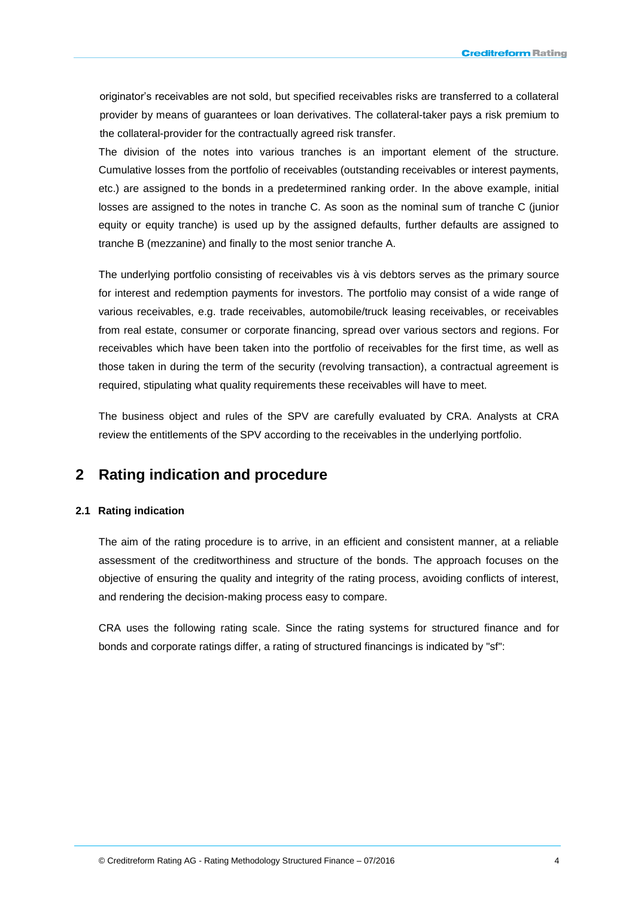originator's receivables are not sold, but specified receivables risks are transferred to a collateral provider by means of guarantees or loan derivatives. The collateral-taker pays a risk premium to the collateral-provider for the contractually agreed risk transfer.

The division of the notes into various tranches is an important element of the structure. Cumulative losses from the portfolio of receivables (outstanding receivables or interest payments, etc.) are assigned to the bonds in a predetermined ranking order. In the above example, initial losses are assigned to the notes in tranche C. As soon as the nominal sum of tranche C (junior equity or equity tranche) is used up by the assigned defaults, further defaults are assigned to tranche B (mezzanine) and finally to the most senior tranche A.

The underlying portfolio consisting of receivables vis à vis debtors serves as the primary source for interest and redemption payments for investors. The portfolio may consist of a wide range of various receivables, e.g. trade receivables, automobile/truck leasing receivables, or receivables from real estate, consumer or corporate financing, spread over various sectors and regions. For receivables which have been taken into the portfolio of receivables for the first time, as well as those taken in during the term of the security (revolving transaction), a contractual agreement is required, stipulating what quality requirements these receivables will have to meet.

The business object and rules of the SPV are carefully evaluated by CRA. Analysts at CRA review the entitlements of the SPV according to the receivables in the underlying portfolio.

## **2 Rating indication and procedure**

#### **2.1 Rating indication**

The aim of the rating procedure is to arrive, in an efficient and consistent manner, at a reliable assessment of the creditworthiness and structure of the bonds. The approach focuses on the objective of ensuring the quality and integrity of the rating process, avoiding conflicts of interest, and rendering the decision-making process easy to compare.

CRA uses the following rating scale. Since the rating systems for structured finance and for bonds and corporate ratings differ, a rating of structured financings is indicated by "sf":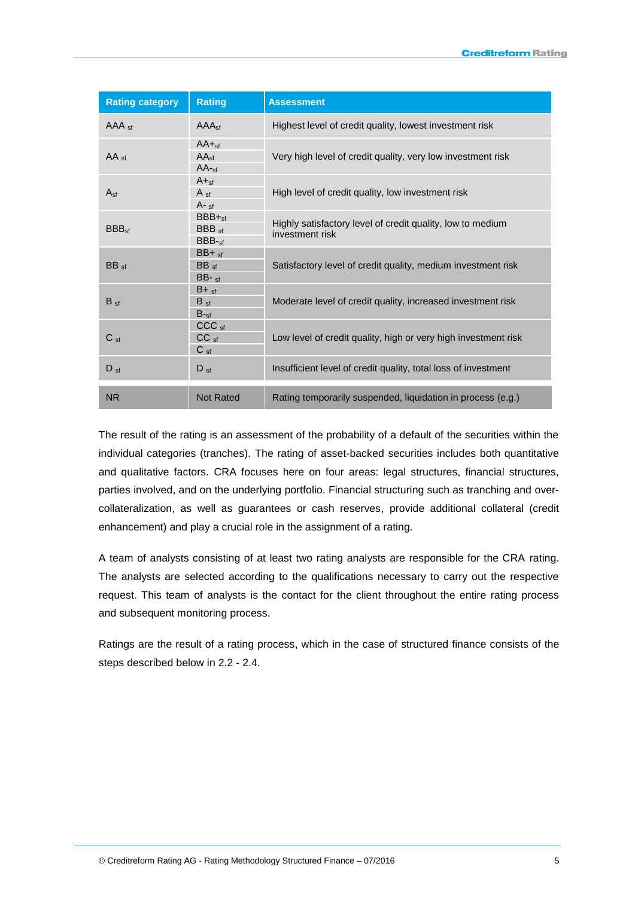| <b>Rating category</b> | <b>Rating</b>                                            | <b>Assessment</b>                                                             |
|------------------------|----------------------------------------------------------|-------------------------------------------------------------------------------|
| $AAA_{sf}$             | AAA <sub>sf</sub>                                        | Highest level of credit quality, lowest investment risk                       |
| $AA_{sf}$              | $AA + st$<br>AA <sub>sf</sub><br>$AA$ -sf                | Very high level of credit quality, very low investment risk                   |
| $A_{\rm sf}$           | $A +sf$<br>$A_{\text{sf}}$<br>$A - st$                   | High level of credit quality, low investment risk                             |
| BBB <sub>sf</sub>      | $BBB +sf$<br>$BBB_{sf}$<br>$BBB-sf$                      | Highly satisfactory level of credit quality, low to medium<br>investment risk |
| BB <sub>sf</sub>       | $BB + cf$<br>BB <sub>sf</sub><br>$BB - sf$               | Satisfactory level of credit quality, medium investment risk                  |
| $B_{\text{sf}}$        | $B + st$<br>$B_{sf}$<br>$B_{\text{f}}$                   | Moderate level of credit quality, increased investment risk                   |
| $C_{\text{sf}}$        | CCC <sub>sf</sub><br>CC <sub>sf</sub><br>C <sub>sf</sub> | Low level of credit quality, high or very high investment risk                |
| $D_{\rm sf}$           | $D_{\text{sf}}$                                          | Insufficient level of credit quality, total loss of investment                |
| <b>NR</b>              | <b>Not Rated</b>                                         | Rating temporarily suspended, liquidation in process (e.g.)                   |

The result of the rating is an assessment of the probability of a default of the securities within the individual categories (tranches). The rating of asset-backed securities includes both quantitative and qualitative factors. CRA focuses here on four areas: legal structures, financial structures, parties involved, and on the underlying portfolio. Financial structuring such as tranching and overcollateralization, as well as guarantees or cash reserves, provide additional collateral (credit enhancement) and play a crucial role in the assignment of a rating.

A team of analysts consisting of at least two rating analysts are responsible for the CRA rating. The analysts are selected according to the qualifications necessary to carry out the respective request. This team of analysts is the contact for the client throughout the entire rating process and subsequent monitoring process.

Ratings are the result of a rating process, which in the case of structured finance consists of the steps described below in 2.2 - 2.4.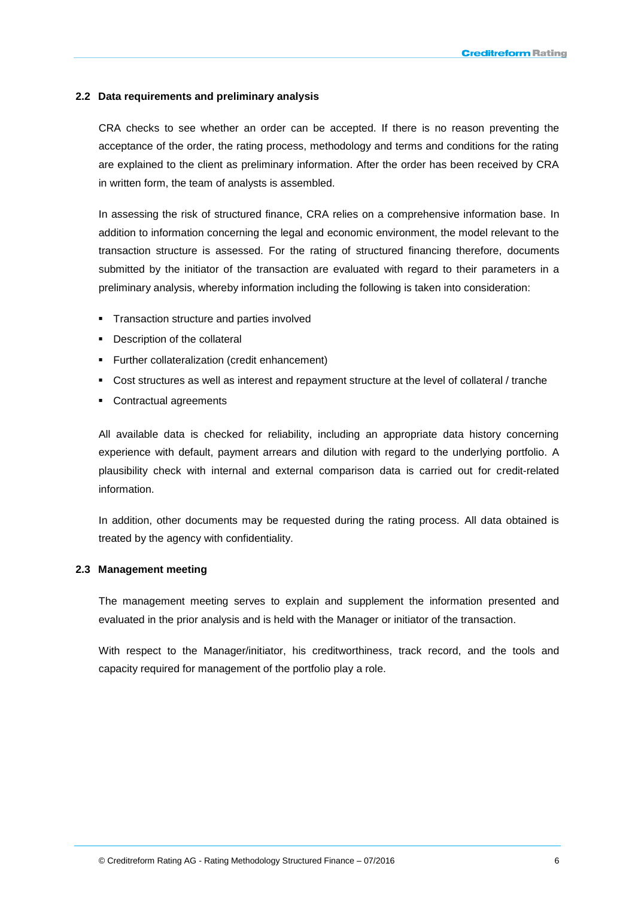### **2.2 Data requirements and preliminary analysis**

CRA checks to see whether an order can be accepted. If there is no reason preventing the acceptance of the order, the rating process, methodology and terms and conditions for the rating are explained to the client as preliminary information. After the order has been received by CRA in written form, the team of analysts is assembled.

In assessing the risk of structured finance, CRA relies on a comprehensive information base. In addition to information concerning the legal and economic environment, the model relevant to the transaction structure is assessed. For the rating of structured financing therefore, documents submitted by the initiator of the transaction are evaluated with regard to their parameters in a preliminary analysis, whereby information including the following is taken into consideration:

- **Transaction structure and parties involved**
- Description of the collateral
- Further collateralization (credit enhancement)
- Cost structures as well as interest and repayment structure at the level of collateral / tranche
- Contractual agreements

All available data is checked for reliability, including an appropriate data history concerning experience with default, payment arrears and dilution with regard to the underlying portfolio. A plausibility check with internal and external comparison data is carried out for credit-related information.

In addition, other documents may be requested during the rating process. All data obtained is treated by the agency with confidentiality.

### **2.3 Management meeting**

The management meeting serves to explain and supplement the information presented and evaluated in the prior analysis and is held with the Manager or initiator of the transaction.

With respect to the Manager/initiator, his creditworthiness, track record, and the tools and capacity required for management of the portfolio play a role.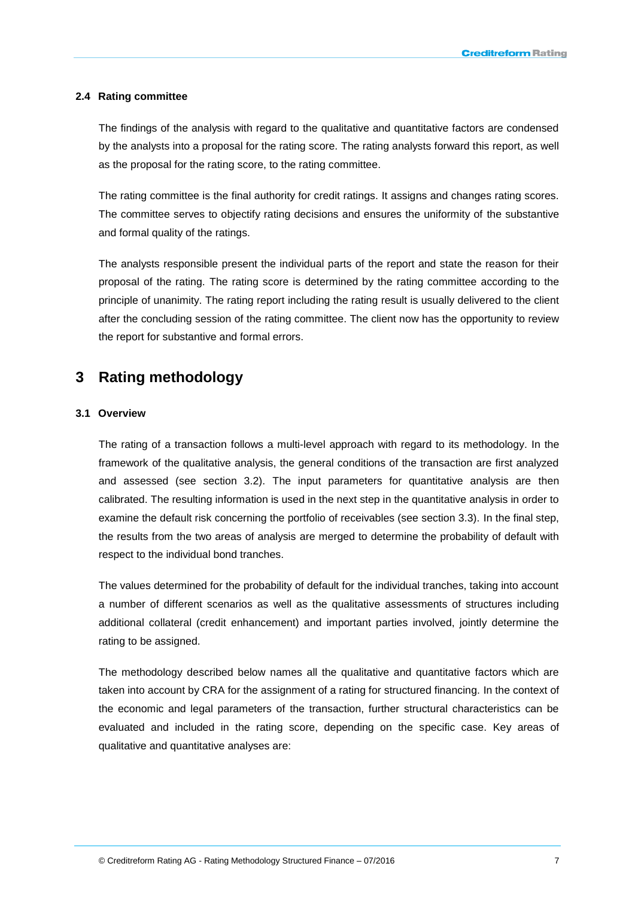### **2.4 Rating committee**

The findings of the analysis with regard to the qualitative and quantitative factors are condensed by the analysts into a proposal for the rating score. The rating analysts forward this report, as well as the proposal for the rating score, to the rating committee.

The rating committee is the final authority for credit ratings. It assigns and changes rating scores. The committee serves to objectify rating decisions and ensures the uniformity of the substantive and formal quality of the ratings.

The analysts responsible present the individual parts of the report and state the reason for their proposal of the rating. The rating score is determined by the rating committee according to the principle of unanimity. The rating report including the rating result is usually delivered to the client after the concluding session of the rating committee. The client now has the opportunity to review the report for substantive and formal errors.

### **3 Rating methodology**

### **3.1 Overview**

The rating of a transaction follows a multi-level approach with regard to its methodology. In the framework of the qualitative analysis, the general conditions of the transaction are first analyzed and assessed (see section 3.2). The input parameters for quantitative analysis are then calibrated. The resulting information is used in the next step in the quantitative analysis in order to examine the default risk concerning the portfolio of receivables (see section 3.3). In the final step, the results from the two areas of analysis are merged to determine the probability of default with respect to the individual bond tranches.

The values determined for the probability of default for the individual tranches, taking into account a number of different scenarios as well as the qualitative assessments of structures including additional collateral (credit enhancement) and important parties involved, jointly determine the rating to be assigned.

The methodology described below names all the qualitative and quantitative factors which are taken into account by CRA for the assignment of a rating for structured financing. In the context of the economic and legal parameters of the transaction, further structural characteristics can be evaluated and included in the rating score, depending on the specific case. Key areas of qualitative and quantitative analyses are: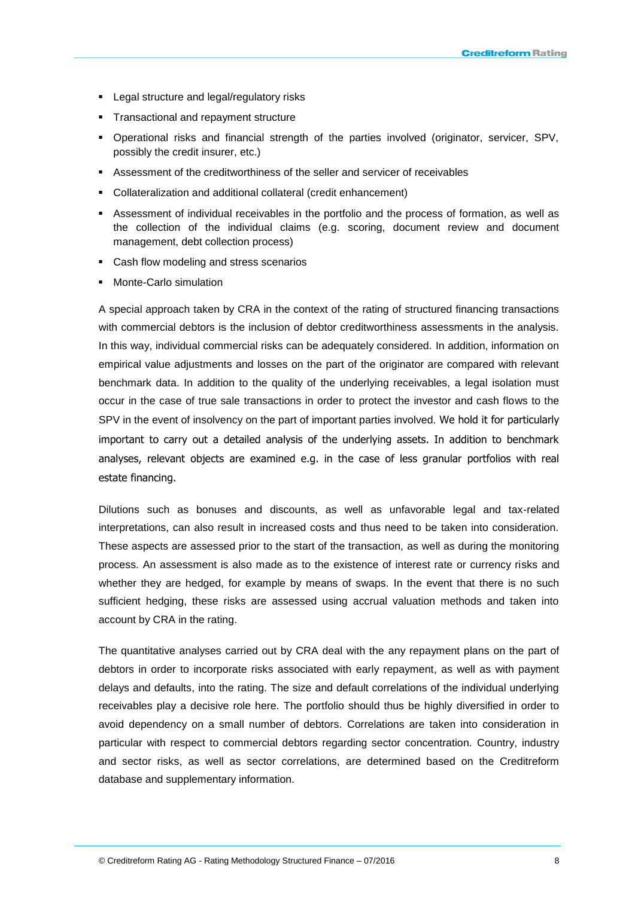- **-** Legal structure and legal/regulatory risks
- **Transactional and repayment structure**
- Operational risks and financial strength of the parties involved (originator, servicer, SPV, possibly the credit insurer, etc.)
- Assessment of the creditworthiness of the seller and servicer of receivables
- Collateralization and additional collateral (credit enhancement)
- Assessment of individual receivables in the portfolio and the process of formation, as well as the collection of the individual claims (e.g. scoring, document review and document management, debt collection process)
- **•** Cash flow modeling and stress scenarios
- **•** Monte-Carlo simulation

A special approach taken by CRA in the context of the rating of structured financing transactions with commercial debtors is the inclusion of debtor creditworthiness assessments in the analysis. In this way, individual commercial risks can be adequately considered. In addition, information on empirical value adjustments and losses on the part of the originator are compared with relevant benchmark data. In addition to the quality of the underlying receivables, a legal isolation must occur in the case of true sale transactions in order to protect the investor and cash flows to the SPV in the event of insolvency on the part of important parties involved. We hold it for particularly important to carry out a detailed analysis of the underlying assets. In addition to benchmark analyses, relevant objects are examined e.g. in the case of less granular portfolios with real estate financing.

Dilutions such as bonuses and discounts, as well as unfavorable legal and tax-related interpretations, can also result in increased costs and thus need to be taken into consideration. These aspects are assessed prior to the start of the transaction, as well as during the monitoring process. An assessment is also made as to the existence of interest rate or currency risks and whether they are hedged, for example by means of swaps. In the event that there is no such sufficient hedging, these risks are assessed using accrual valuation methods and taken into account by CRA in the rating.

The quantitative analyses carried out by CRA deal with the any repayment plans on the part of debtors in order to incorporate risks associated with early repayment, as well as with payment delays and defaults, into the rating. The size and default correlations of the individual underlying receivables play a decisive role here. The portfolio should thus be highly diversified in order to avoid dependency on a small number of debtors. Correlations are taken into consideration in particular with respect to commercial debtors regarding sector concentration. Country, industry and sector risks, as well as sector correlations, are determined based on the Creditreform database and supplementary information.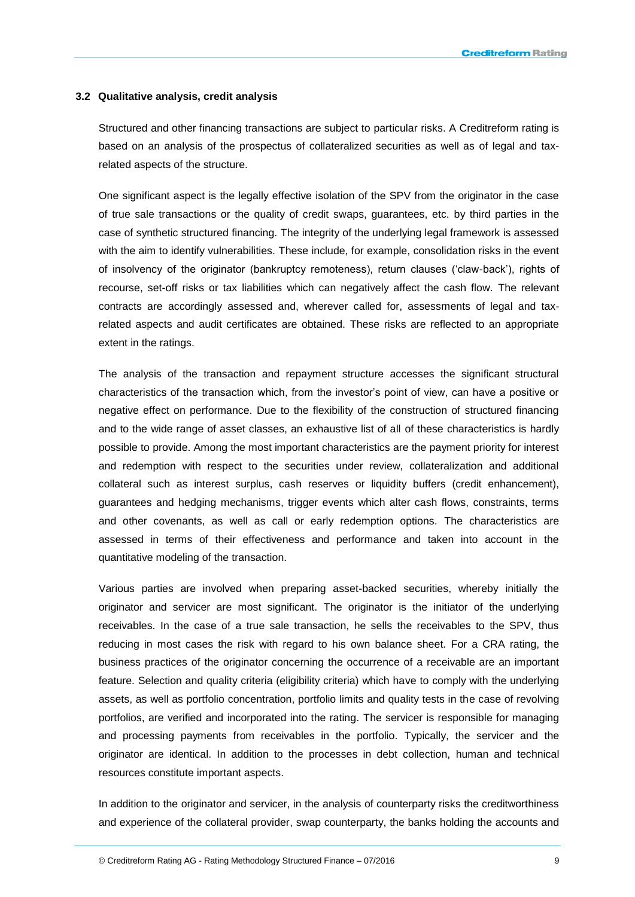#### **3.2 Qualitative analysis, credit analysis**

Structured and other financing transactions are subject to particular risks. A Creditreform rating is based on an analysis of the prospectus of collateralized securities as well as of legal and taxrelated aspects of the structure.

One significant aspect is the legally effective isolation of the SPV from the originator in the case of true sale transactions or the quality of credit swaps, guarantees, etc. by third parties in the case of synthetic structured financing. The integrity of the underlying legal framework is assessed with the aim to identify vulnerabilities. These include, for example, consolidation risks in the event of insolvency of the originator (bankruptcy remoteness), return clauses ('claw-back'), rights of recourse, set-off risks or tax liabilities which can negatively affect the cash flow. The relevant contracts are accordingly assessed and, wherever called for, assessments of legal and taxrelated aspects and audit certificates are obtained. These risks are reflected to an appropriate extent in the ratings.

The analysis of the transaction and repayment structure accesses the significant structural characteristics of the transaction which, from the investor's point of view, can have a positive or negative effect on performance. Due to the flexibility of the construction of structured financing and to the wide range of asset classes, an exhaustive list of all of these characteristics is hardly possible to provide. Among the most important characteristics are the payment priority for interest and redemption with respect to the securities under review, collateralization and additional collateral such as interest surplus, cash reserves or liquidity buffers (credit enhancement), guarantees and hedging mechanisms, trigger events which alter cash flows, constraints, terms and other covenants, as well as call or early redemption options. The characteristics are assessed in terms of their effectiveness and performance and taken into account in the quantitative modeling of the transaction.

Various parties are involved when preparing asset-backed securities, whereby initially the originator and servicer are most significant. The originator is the initiator of the underlying receivables. In the case of a true sale transaction, he sells the receivables to the SPV, thus reducing in most cases the risk with regard to his own balance sheet. For a CRA rating, the business practices of the originator concerning the occurrence of a receivable are an important feature. Selection and quality criteria (eligibility criteria) which have to comply with the underlying assets, as well as portfolio concentration, portfolio limits and quality tests in the case of revolving portfolios, are verified and incorporated into the rating. The servicer is responsible for managing and processing payments from receivables in the portfolio. Typically, the servicer and the originator are identical. In addition to the processes in debt collection, human and technical resources constitute important aspects.

In addition to the originator and servicer, in the analysis of counterparty risks the creditworthiness and experience of the collateral provider, swap counterparty, the banks holding the accounts and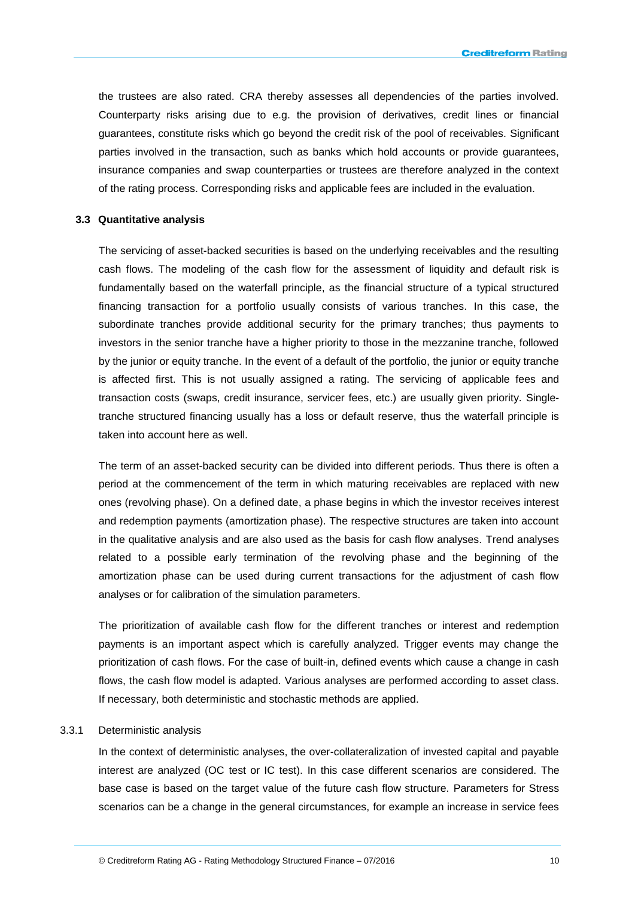the trustees are also rated. CRA thereby assesses all dependencies of the parties involved. Counterparty risks arising due to e.g. the provision of derivatives, credit lines or financial guarantees, constitute risks which go beyond the credit risk of the pool of receivables. Significant parties involved in the transaction, such as banks which hold accounts or provide guarantees, insurance companies and swap counterparties or trustees are therefore analyzed in the context of the rating process. Corresponding risks and applicable fees are included in the evaluation.

### **3.3 Quantitative analysis**

The servicing of asset-backed securities is based on the underlying receivables and the resulting cash flows. The modeling of the cash flow for the assessment of liquidity and default risk is fundamentally based on the waterfall principle, as the financial structure of a typical structured financing transaction for a portfolio usually consists of various tranches. In this case, the subordinate tranches provide additional security for the primary tranches; thus payments to investors in the senior tranche have a higher priority to those in the mezzanine tranche, followed by the junior or equity tranche. In the event of a default of the portfolio, the junior or equity tranche is affected first. This is not usually assigned a rating. The servicing of applicable fees and transaction costs (swaps, credit insurance, servicer fees, etc.) are usually given priority. Singletranche structured financing usually has a loss or default reserve, thus the waterfall principle is taken into account here as well.

The term of an asset-backed security can be divided into different periods. Thus there is often a period at the commencement of the term in which maturing receivables are replaced with new ones (revolving phase). On a defined date, a phase begins in which the investor receives interest and redemption payments (amortization phase). The respective structures are taken into account in the qualitative analysis and are also used as the basis for cash flow analyses. Trend analyses related to a possible early termination of the revolving phase and the beginning of the amortization phase can be used during current transactions for the adjustment of cash flow analyses or for calibration of the simulation parameters.

The prioritization of available cash flow for the different tranches or interest and redemption payments is an important aspect which is carefully analyzed. Trigger events may change the prioritization of cash flows. For the case of built-in, defined events which cause a change in cash flows, the cash flow model is adapted. Various analyses are performed according to asset class. If necessary, both deterministic and stochastic methods are applied.

#### 3.3.1 Deterministic analysis

In the context of deterministic analyses, the over-collateralization of invested capital and payable interest are analyzed (OC test or IC test). In this case different scenarios are considered. The base case is based on the target value of the future cash flow structure. Parameters for Stress scenarios can be a change in the general circumstances, for example an increase in service fees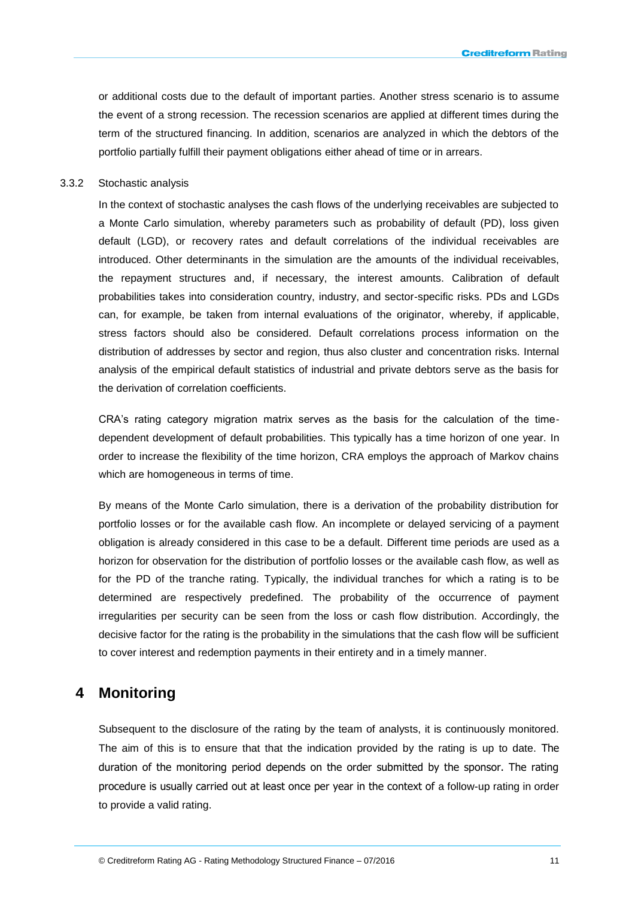or additional costs due to the default of important parties. Another stress scenario is to assume the event of a strong recession. The recession scenarios are applied at different times during the term of the structured financing. In addition, scenarios are analyzed in which the debtors of the portfolio partially fulfill their payment obligations either ahead of time or in arrears.

#### 3.3.2 Stochastic analysis

In the context of stochastic analyses the cash flows of the underlying receivables are subjected to a Monte Carlo simulation, whereby parameters such as probability of default (PD), loss given default (LGD), or recovery rates and default correlations of the individual receivables are introduced. Other determinants in the simulation are the amounts of the individual receivables, the repayment structures and, if necessary, the interest amounts. Calibration of default probabilities takes into consideration country, industry, and sector-specific risks. PDs and LGDs can, for example, be taken from internal evaluations of the originator, whereby, if applicable, stress factors should also be considered. Default correlations process information on the distribution of addresses by sector and region, thus also cluster and concentration risks. Internal analysis of the empirical default statistics of industrial and private debtors serve as the basis for the derivation of correlation coefficients.

CRA's rating category migration matrix serves as the basis for the calculation of the timedependent development of default probabilities. This typically has a time horizon of one year. In order to increase the flexibility of the time horizon, CRA employs the approach of Markov chains which are homogeneous in terms of time.

By means of the Monte Carlo simulation, there is a derivation of the probability distribution for portfolio losses or for the available cash flow. An incomplete or delayed servicing of a payment obligation is already considered in this case to be a default. Different time periods are used as a horizon for observation for the distribution of portfolio losses or the available cash flow, as well as for the PD of the tranche rating. Typically, the individual tranches for which a rating is to be determined are respectively predefined. The probability of the occurrence of payment irregularities per security can be seen from the loss or cash flow distribution. Accordingly, the decisive factor for the rating is the probability in the simulations that the cash flow will be sufficient to cover interest and redemption payments in their entirety and in a timely manner.

# **4 Monitoring**

Subsequent to the disclosure of the rating by the team of analysts, it is continuously monitored. The aim of this is to ensure that that the indication provided by the rating is up to date. The duration of the monitoring period depends on the order submitted by the sponsor. The rating procedure is usually carried out at least once per year in the context of a follow-up rating in order to provide a valid rating.